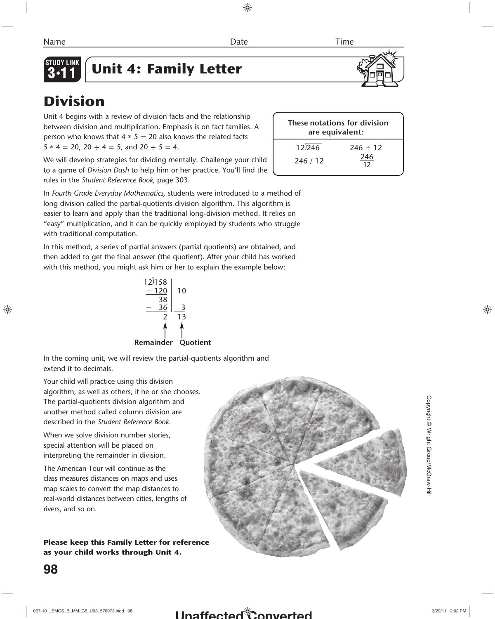

# **Unit 4: Family Letter**

# **Division**

Unit 4 begins with a review of division facts and the relationship between division and multiplication. Emphasis is on fact families. A person who knows that  $4 * 5 = 20$  also knows the related facts  $5 * 4 = 20$ ,  $20 \div 4 = 5$ , and  $20 \div 5 = 4$ .

We will develop strategies for dividing mentally. Challenge your child to a game of *Division Dash* to help him or her practice. You'll find the rules in the *Student Reference Book,* page 303.

In *Fourth Grade Everyday Mathematics,* students were introduced to a method of long division called the partial-quotients division algorithm. This algorithm is easier to learn and apply than the traditional long-division method. It relies on "easy" multiplication, and it can be quickly employed by students who struggle with traditional computation.

In this method, a series of partial answers (partial quotients) are obtained, and then added to get the final answer (the quotient). After your child has worked with this method, you might ask him or her to explain the example below:

> 12)158 <u>– 120</u> | 10 38 - $36 \mid 3$ 2 13 **Remainder Quotient**

In the coming unit, we will review the partial-quotients algorithm and extend it to decimals.

Your child will practice using this division algorithm, as well as others, if he or she chooses. The partial-quotients division algorithm and another method called column division are described in the *Student Reference Book.*

When we solve division number stories, special attention will be placed on interpreting the remainder in division.

The American Tour will continue as the class measures distances on maps and uses map scales to convert the map distances to real-world distances between cities, lengths of rivers, and so on.

**Please keep this Family Letter for reference as your child works through Unit 4.**



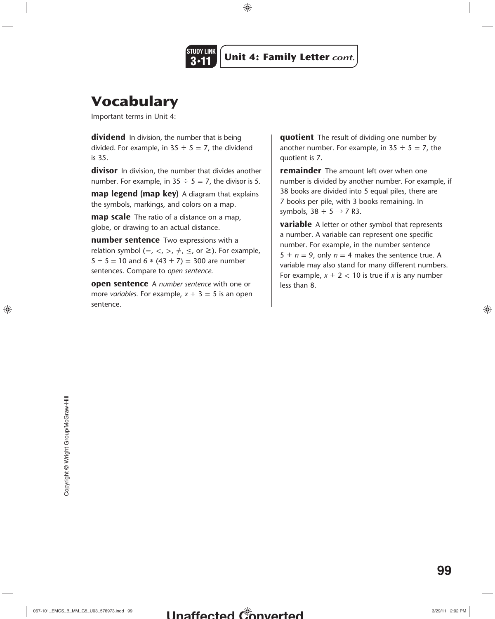

# **Vocabulary**

Important terms in Unit 4:

**dividend** In division, the number that is being divided. For example, in  $35 \div 5 = 7$ , the dividend is 35.

**divisor** In division, the number that divides another number. For example, in  $35 \div 5 = 7$ , the divisor is 5.

**map legend (map key)** A diagram that explains the symbols, markings, and colors on a map.

**map scale** The ratio of a distance on a map, globe, or drawing to an actual distance.

**number sentence** Two expressions with a relation symbol (=, <, >,  $\neq$ ,  $\leq$ , or  $\geq$ ). For example,  $5 + 5 = 10$  and  $6 * (43 + 7) = 300$  are number sentences. Compare to *open sentence.*

**open sentence** A *number sentence* with one or more *variables*. For example,  $x + 3 = 5$  is an open sentence.

**quotient** The result of dividing one number by another number. For example, in  $35 \div 5 = 7$ , the quotient is 7.

**remainder** The amount left over when one number is divided by another number. For example, if 38 books are divided into 5 equal piles, there are 7 books per pile, with 3 books remaining. In symbols,  $38 \div 5 \rightarrow 7$  R3.

**variable** A letter or other symbol that represents a number. A variable can represent one specific number. For example, in the number sentence  $5 + n = 9$ , only  $n = 4$  makes the sentence true. A variable may also stand for many different numbers. For example,  $x + 2 < 10$  is true if *x* is any number less than 8.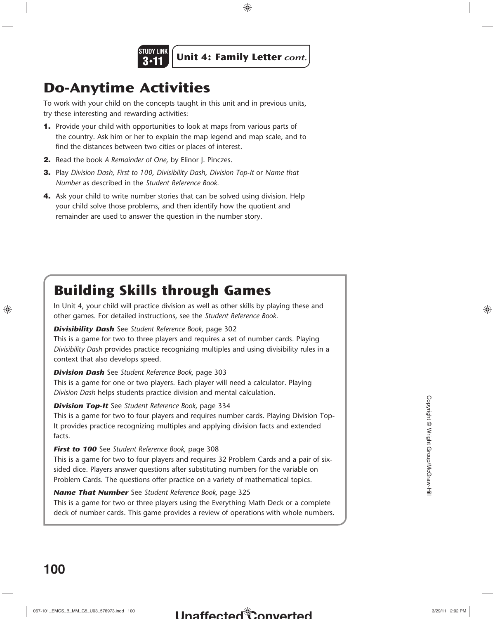

# **Do-Anytime Activities**

To work with your child on the concepts taught in this unit and in previous units, try these interesting and rewarding activities:

- **1.** Provide your child with opportunities to look at maps from various parts of the country. Ask him or her to explain the map legend and map scale, and to find the distances between two cities or places of interest.
- **2.** Read the book *A Remainder of One,* by Elinor J. Pinczes.
- **3.** Play *Division Dash, First to 100, Divisibility Dash*, *Division Top-It* or *Name that Number* as described in the *Student Reference Book.*
- **4.** Ask your child to write number stories that can be solved using division. Help your child solve those problems, and then identify how the quotient and remainder are used to answer the question in the number story.

## **Building Skills through Games**

In Unit 4, your child will practice division as well as other skills by playing these and other games. For detailed instructions, see the *Student Reference Book.*

## **Divisibility Dash** See *Student Reference Book,* page 302

This is a game for two to three players and requires a set of number cards. Playing *Divisibility Dash* provides practice recognizing multiples and using divisibility rules in a context that also develops speed.

### **Division Dash** See *Student Reference Book,* page 303

This is a game for one or two players. Each player will need a calculator. Playing *Division Dash* helps students practice division and mental calculation.

### **Division Top-It** See *Student Reference Book,* page 334

This is a game for two to four players and requires number cards. Playing Division Top-It provides practice recognizing multiples and applying division facts and extended facts.

### **First to 100** See *Student Reference Book,* page 308

This is a game for two to four players and requires 32 Problem Cards and a pair of sixsided dice. Players answer questions after substituting numbers for the variable on Problem Cards. The questions offer practice on a variety of mathematical topics.

**Name That Number** See *Student Reference Book,* page 325 This is a game for two or three players using the Everything Math Deck or a complete deck of number cards. This game provides a review of operations with whole numbers.